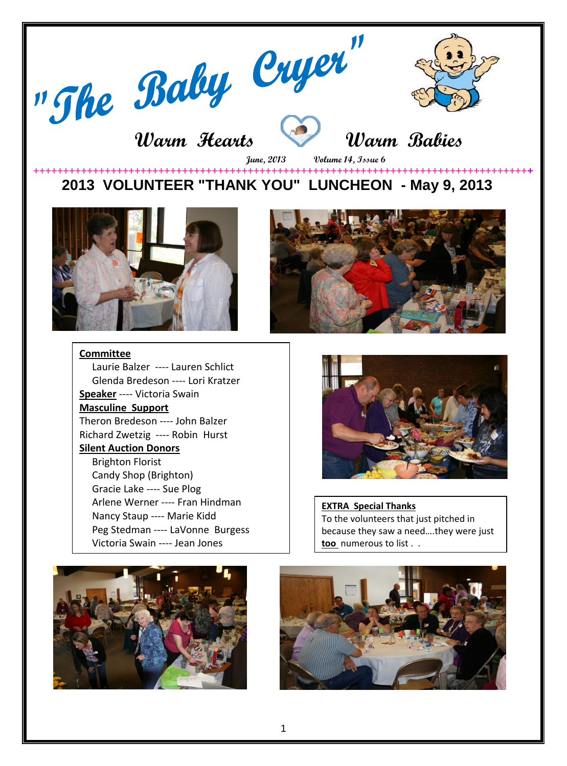

# **Warm Hearts Warm Babies**



 **June, 2013 Volume 14, Issue 6** 

### **++++++++++++++++++++++++++++++++++++++++++++++++++++++++++++++++++++++++++++++++++++++++++ 2013 VOLUNTEER "THANK YOU" LUNCHEON - May 9, 2013**





#### **Committee**

Laurie Balzer ---- Lauren Schlict Glenda Bredeson ---- Lori Kratzer **Speaker** ---- Victoria Swain **Masculine Support** Theron Bredeson ---- John Balzer Richard Zwetzig ---- Robin Hurst **Silent Auction Donors** Brighton Florist Candy Shop (Brighton) Gracie Lake ---- Sue Plog Arlene Werner ---- Fran Hindman Nancy Staup ---- Marie Kidd Peg Stedman ---- LaVonne Burgess Victoria Swain ---- Jean Jones



**EXTRA Special Thanks** To the volunteers that just pitched in because they saw a need….they were just **too** numerous to list . .



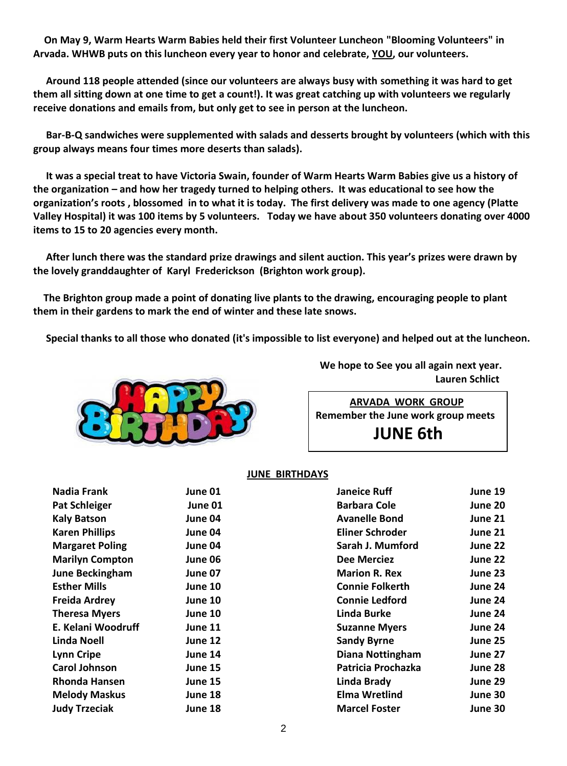**On May 9, Warm Hearts Warm Babies held their first Volunteer Luncheon "Blooming Volunteers" in Arvada. WHWB puts on this luncheon every year to honor and celebrate, YOU, our volunteers.**

 **Around 118 people attended (since our volunteers are always busy with something it was hard to get them all sitting down at one time to get a count!). It was great catching up with volunteers we regularly receive donations and emails from, but only get to see in person at the luncheon.**

 **Bar-B-Q sandwiches were supplemented with salads and desserts brought by volunteers (which with this group always means four times more deserts than salads).**

 **It was a special treat to have Victoria Swain, founder of Warm Hearts Warm Babies give us a history of the organization – and how her tragedy turned to helping others. It was educational to see how the organization's roots , blossomed in to what it is today. The first delivery was made to one agency (Platte Valley Hospital) it was 100 items by 5 volunteers. Today we have about 350 volunteers donating over 4000 items to 15 to 20 agencies every month.**

 **After lunch there was the standard prize drawings and silent auction. This year's prizes were drawn by the lovely granddaughter of Karyl Frederickson (Brighton work group).**

 **The Brighton group made a point of donating live plants to the drawing, encouraging people to plant them in their gardens to mark the end of winter and these late snows.**

 **Special thanks to all those who donated (it's impossible to list everyone) and helped out at the luncheon.** 



 **We hope to See you all again next year. Lauren Schlict** 

 **ARVADA WORK GROUP Remember the June work group meets** 

 **JUNE 6th** 

#### **JUNE BIRTHDAYS**

| Nadia Frank            | June 01 | <b>Janeice Ruff</b>     | June 19 |
|------------------------|---------|-------------------------|---------|
| <b>Pat Schleiger</b>   | June 01 | <b>Barbara Cole</b>     | June 20 |
| <b>Kaly Batson</b>     | June 04 | <b>Avanelle Bond</b>    | June 21 |
| <b>Karen Phillips</b>  | June 04 | Eliner Schroder         | June 21 |
| <b>Margaret Poling</b> | June 04 | Sarah J. Mumford        | June 22 |
| <b>Marilyn Compton</b> | June 06 | <b>Dee Merciez</b>      | June 22 |
| June Beckingham        | June 07 | <b>Marion R. Rex</b>    | June 23 |
| <b>Esther Mills</b>    | June 10 | <b>Connie Folkerth</b>  | June 24 |
| <b>Freida Ardrey</b>   | June 10 | <b>Connie Ledford</b>   | June 24 |
| <b>Theresa Myers</b>   | June 10 | Linda Burke             | June 24 |
| E. Kelani Woodruff     | June 11 | <b>Suzanne Myers</b>    | June 24 |
| Linda Noell            | June 12 | <b>Sandy Byrne</b>      | June 25 |
| <b>Lynn Cripe</b>      | June 14 | <b>Diana Nottingham</b> | June 27 |
| <b>Carol Johnson</b>   | June 15 | Patricia Prochazka      | June 28 |
| <b>Rhonda Hansen</b>   | June 15 | Linda Brady             | June 29 |
| <b>Melody Maskus</b>   | June 18 | <b>Elma Wretlind</b>    | June 30 |
| <b>Judy Trzeciak</b>   | June 18 | <b>Marcel Foster</b>    | June 30 |
|                        |         |                         |         |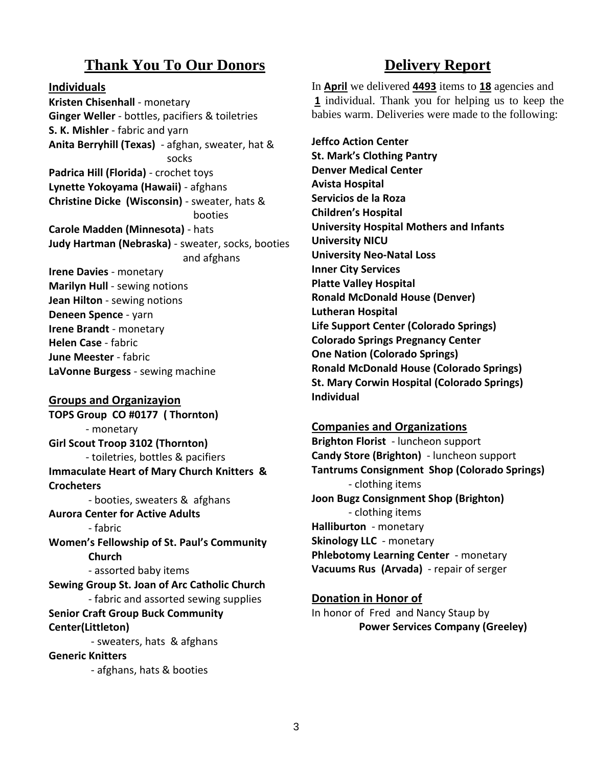# **Thank You To Our Donors**

**Individuals**

**Kristen Chisenhall** - monetary **Ginger Weller** - bottles, pacifiers & toiletries **S. K. Mishler** - fabric and yarn **Anita Berryhill (Texas)** - afghan, sweater, hat & socks **Padrica Hill (Florida)** - crochet toys **Lynette Yokoyama (Hawaii)** - afghans **Christine Dicke (Wisconsin)** - sweater, hats & booties **Carole Madden (Minnesota)** - hats **Judy Hartman (Nebraska)** - sweater, socks, booties and afghans **Irene Davies** - monetary **Marilyn Hull** - sewing notions **Jean Hilton** - sewing notions **Deneen Spence** - yarn **Irene Brandt** - monetary **Helen Case** - fabric **June Meester** - fabric

**LaVonne Burgess** - sewing machine

#### **Groups and Organizayion**

**TOPS Group CO #0177 ( Thornton)** - monetary **Girl Scout Troop 3102 (Thornton)** - toiletries, bottles & pacifiers **Immaculate Heart of Mary Church Knitters & Crocheters** - booties, sweaters & afghans **Aurora Center for Active Adults** - fabric **Women's Fellowship of St. Paul's Community Church** - assorted baby items **Sewing Group St. Joan of Arc Catholic Church** - fabric and assorted sewing supplies **Senior Craft Group Buck Community Center(Littleton)** - sweaters, hats & afghans **Generic Knitters**

- afghans, hats & booties

## **Delivery Report**

In **April** we delivered **4493** items to **18** agencies and **1** individual. Thank you for helping us to keep the babies warm. Deliveries were made to the following:

**Jeffco Action Center St. Mark's Clothing Pantry Denver Medical Center Avista Hospital Servicios de la Roza Children's Hospital University Hospital Mothers and Infants University NICU University Neo-Natal Loss Inner City Services Platte Valley Hospital Ronald McDonald House (Denver) Lutheran Hospital Life Support Center (Colorado Springs) Colorado Springs Pregnancy Center One Nation (Colorado Springs) Ronald McDonald House (Colorado Springs) St. Mary Corwin Hospital (Colorado Springs) Individual**

#### **Companies and Organizations**

**Brighton Florist** - luncheon support **Candy Store (Brighton)** - luncheon support **Tantrums Consignment Shop (Colorado Springs)** - clothing items **Joon Bugz Consignment Shop (Brighton)** - clothing items **Halliburton** - monetary **Skinology LLC** - monetary **Phlebotomy Learning Center** - monetary **Vacuums Rus (Arvada)** - repair of serger

#### **Donation in Honor of**

In honor of Fred and Nancy Staup by **Power Services Company (Greeley)**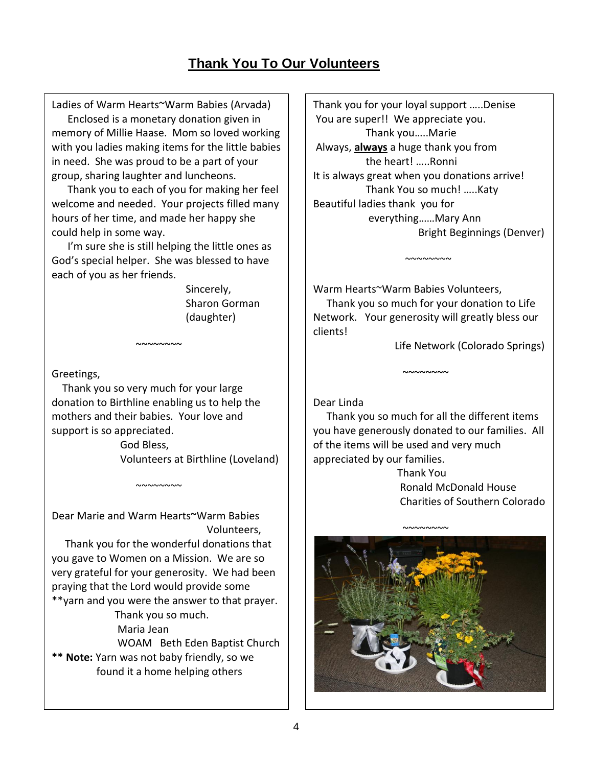# **Thank You To Our Volunteers**

Ladies of Warm Hearts~Warm Babies (Arvada) Enclosed is a monetary donation given in memory of Millie Haase. Mom so loved working with you ladies making items for the little babies in need. She was proud to be a part of your group, sharing laughter and luncheons.

 Thank you to each of you for making her feel welcome and needed. Your projects filled many hours of her time, and made her happy she could help in some way.

 I'm sure she is still helping the little ones as God's special helper. She was blessed to have each of you as her friends.

> Sincerely, Sharon Gorman (daughter)

Greetings,

 Thank you so very much for your large donation to Birthline enabling us to help the mothers and their babies. Your love and support is so appreciated.

 $~\sim\sim\sim\sim\sim\sim\sim$ 

 God Bless, Volunteers at Birthline (Loveland)

Dear Marie and Warm Hearts~Warm Babies Volunteers,

 $~\sim$   $\sim$   $\sim$   $\sim$   $\sim$   $\sim$ 

 Thank you for the wonderful donations that you gave to Women on a Mission. We are so very grateful for your generosity. We had been praying that the Lord would provide some \*\*yarn and you were the answer to that prayer.

Thank you so much.

Maria Jean

 WOAM Beth Eden Baptist Church **\*\* Note:** Yarn was not baby friendly, so we found it a home helping others

Thank you for your loyal support …..Denise You are super!! We appreciate you. Thank you…..Marie Always, **always** a huge thank you from the heart! …..Ronni It is always great when you donations arrive! Thank You so much! …..Katy Beautiful ladies thank you for everything……Mary Ann Bright Beginnings (Denver)

Warm Hearts~Warm Babies Volunteers, Thank you so much for your donation to Life Network. Your generosity will greatly bless our

 $~\sim\sim\sim\sim\sim\sim\sim$ 

Life Network (Colorado Springs)

Dear Linda

clients!

 Thank you so much for all the different items you have generously donated to our families. All of the items will be used and very much appreciated by our families.

~~~~~~~~

 Thank You Ronald McDonald House Charities of Southern Colorado

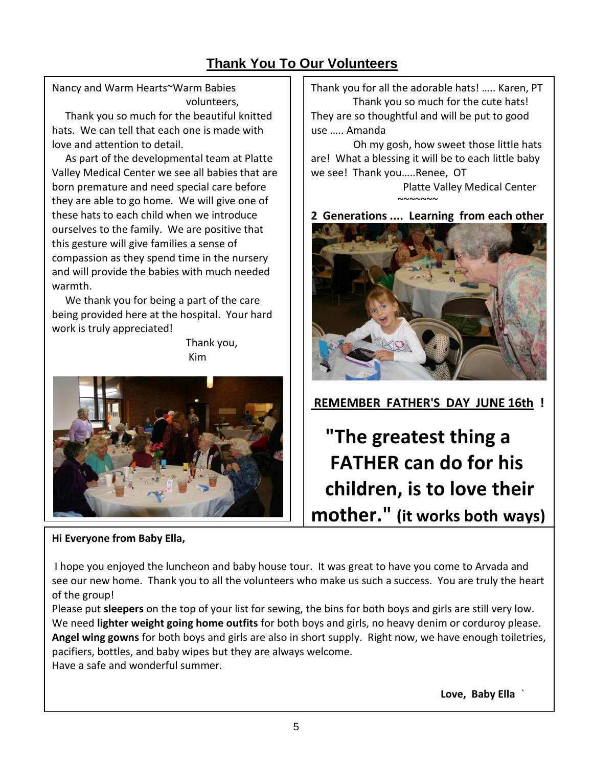# **Thank You To Our Volunteers**

Nancy and Warm Hearts~Warm Babies volunteers,

 Thank you so much for the beautiful knitted hats. We can tell that each one is made with love and attention to detail.

 As part of the developmental team at Platte Valley Medical Center we see all babies that are born premature and need special care before they are able to go home. We will give one of these hats to each child when we introduce ourselves to the family. We are positive that this gesture will give families a sense of compassion as they spend time in the nursery and will provide the babies with much needed warmth.

 We thank you for being a part of the care being provided here at the hospital. Your hard work is truly appreciated!

 Thank you, **Kim** (1999) (1999) (1999) (1999) (1999) (1999)



### **Hi Everyone from Baby Ella,**

Thank you for all the adorable hats! ….. Karen, PT Thank you so much for the cute hats! They are so thoughtful and will be put to good use ….. Amanda

 Oh my gosh, how sweet those little hats are! What a blessing it will be to each little baby we see! Thank you…..Renee, OT

 Platte Valley Medical Center  $~\sim$ ~~~~~~~~

**2 Generations .... Learning from each other**



**REMEMBER FATHER'S DAY JUNE 16th !**

 **"The greatest thing a FATHER can do for his children, is to love their mother." (it works both ways)**

I hope you enjoyed the luncheon and baby house tour. It was great to have you come to Arvada and see our new home. Thank you to all the volunteers who make us such a success. You are truly the heart of the group!

Please put **sleepers** on the top of your list for sewing, the bins for both boys and girls are still very low. We need **lighter weight going home outfits** for both boys and girls, no heavy denim or corduroy please. **Angel wing gowns** for both boys and girls are also in short supply. Right now, we have enough toiletries, pacifiers, bottles, and baby wipes but they are always welcome. Have a safe and wonderful summer.

**Love, Baby Ella** `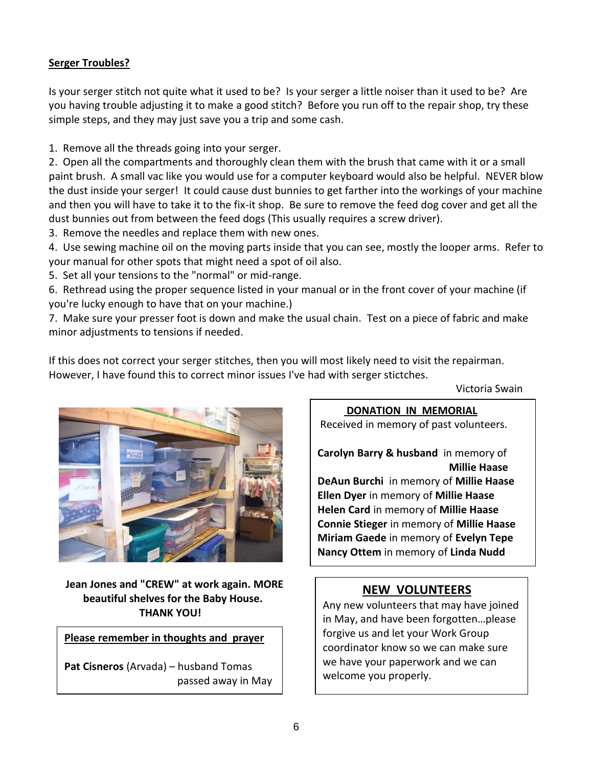### **Serger Troubles?**

Is your serger stitch not quite what it used to be? Is your serger a little noiser than it used to be? Are you having trouble adjusting it to make a good stitch? Before you run off to the repair shop, try these simple steps, and they may just save you a trip and some cash.

1. Remove all the threads going into your serger.

2. Open all the compartments and thoroughly clean them with the brush that came with it or a small paint brush. A small vac like you would use for a computer keyboard would also be helpful. NEVER blow the dust inside your serger! It could cause dust bunnies to get farther into the workings of your machine and then you will have to take it to the fix-it shop. Be sure to remove the feed dog cover and get all the dust bunnies out from between the feed dogs (This usually requires a screw driver).

3. Remove the needles and replace them with new ones.

4. Use sewing machine oil on the moving parts inside that you can see, mostly the looper arms. Refer to your manual for other spots that might need a spot of oil also.

5. Set all your tensions to the "normal" or mid-range.

6. Rethread using the proper sequence listed in your manual or in the front cover of your machine (if you're lucky enough to have that on your machine.)

7. Make sure your presser foot is down and make the usual chain. Test on a piece of fabric and make minor adjustments to tensions if needed.

If this does not correct your serger stitches, then you will most likely need to visit the repairman. However, I have found this to correct minor issues I've had with serger stictches.

Victoria Swain



 **Jean Jones and "CREW" at work again. MORE beautiful shelves for the Baby House.**

**Please remember in thoughts and prayer**

**Pat Cisneros** (Arvada) – husband Tomas passed away in May

### **DONATION IN MEMORIAL**

Received in memory of past volunteers.

**Carolyn Barry & husband** in memory of **Millie Haase**

**DeAun Burchi** in memory of **Millie Haase Ellen Dyer** in memory of **Millie Haase Helen Card** in memory of **Millie Haase Connie Stieger** in memory of **Millie Haase Miriam Gaede** in memory of **Evelyn Tepe Nancy Ottem** in memory of **Linda Nudd**

## **NEW VOLUNTEERS**

**THANK YOU!**<br>
in May, and have been forgotten...please Any new volunteers that may have joined forgive us and let your Work Group coordinator know so we can make sure we have your paperwork and we can welcome you properly.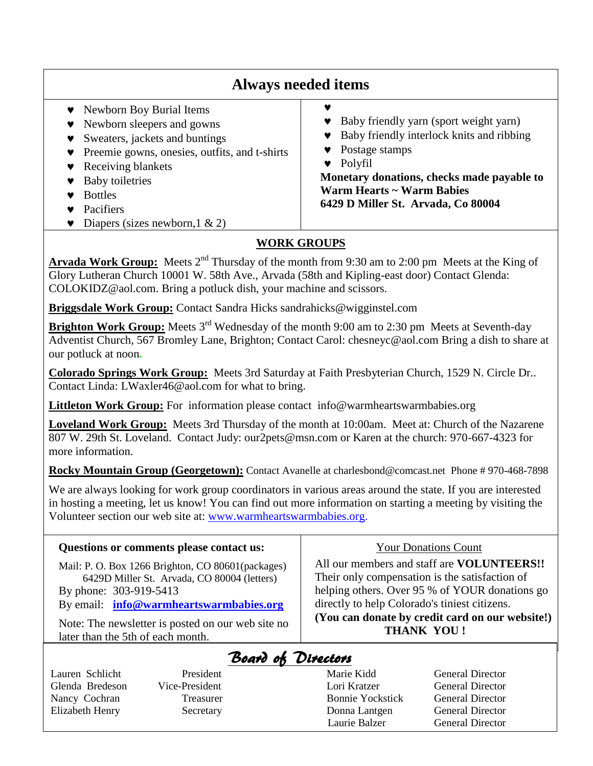| <b>Always needed items</b>                                                                                                                                                                                                                                       |                                                                                                                                                                                                                                   |  |  |
|------------------------------------------------------------------------------------------------------------------------------------------------------------------------------------------------------------------------------------------------------------------|-----------------------------------------------------------------------------------------------------------------------------------------------------------------------------------------------------------------------------------|--|--|
| • Newborn Boy Burial Items<br>Newborn sleepers and gowns<br>Sweaters, jackets and buntings<br>Preemie gowns, onesies, outfits, and t-shirts<br>Receiving blankets<br><b>Baby toiletries</b><br><b>Bottles</b><br>Pacifiers<br>Diapers (sizes newborn, $1 \& 2$ ) | Baby friendly yarn (sport weight yarn)<br>Baby friendly interlock knits and ribbing<br>Postage stamps<br>Polyfil<br>Monetary donations, checks made payable to<br>Warm Hearts ~ Warm Babies<br>6429 D Miller St. Arvada, Co 80004 |  |  |

### **WORK GROUPS**

**Arvada Work Group:** Meets 2<sup>nd</sup> Thursday of the month from 9:30 am to 2:00 pm Meets at the King of Glory Lutheran Church 10001 W. 58th Ave., Arvada (58th and Kipling-east door) Contact Glenda: COLOKIDZ@aol.com. Bring a potluck dish, your machine and scissors.

**Briggsdale Work Group:** Contact Sandra Hicks sandrahicks@wigginstel.com

**Brighton Work Group:** Meets 3<sup>rd</sup> Wednesday of the month 9:00 am to 2:30 pm Meets at Seventh-day Adventist Church, 567 Bromley Lane, Brighton; Contact Carol: chesneyc@aol.com Bring a dish to share at our potluck at noon*.*

**Colorado Springs Work Group:** Meets 3rd Saturday at Faith Presbyterian Church, 1529 N. Circle Dr.. Contact Linda: LWaxler46@aol.com for what to bring.

**Littleton Work Group:** For information please contact info@warmheartswarmbabies.org

**Loveland Work Group:** Meets 3rd Thursday of the month at 10:00am. Meet at: Church of the Nazarene 807 W. 29th St. Loveland. Contact Judy: our2pets@msn.com or Karen at the church: 970-667-4323 for more information.

**Rocky Mountain Group (Georgetown):** Contact Avanelle at charlesbond@comcast.net Phone # 970-468-7898

We are always looking for work group coordinators in various areas around the state. If you are interested in hosting a meeting, let us know! You can find out more information on starting a meeting by visiting the Volunteer section our web site at: [www.warmheartswarmbabies.org.](http://www.warmheartswarmbabies.org/)

# **Questions or comments please contact us:** Mail: P. O. Box 1266 Brighton, CO 80601(packages) 6429D Miller St. Arvada, CO 80004 (letters) By phone: 303-919-5413 By email: **[info@warmheartswarmbabies.org](mailto:info@warmheartswarmbabies.org)**

Note: The newsletter is posted on our web site no later than the 5th of each month.

Glenda Bredeson Vice-President Lori Kratzer General Director Nancy Cochran Treasurer Bonnie Yockstick General Director Elizabeth Henry Secretary Donna Lantgen General Director

### Your Donations Count

All our members and staff are **VOLUNTEERS!!** Their only compensation is the satisfaction of helping others. Over 95 % of YOUR donations go directly to help Colorado's tiniest citizens. **(You can donate by credit card on our website!) THANK YOU !**

# Board of Directors

7

Lauren Schlicht President Marie Kidd General Director

Laurie Balzer General Director